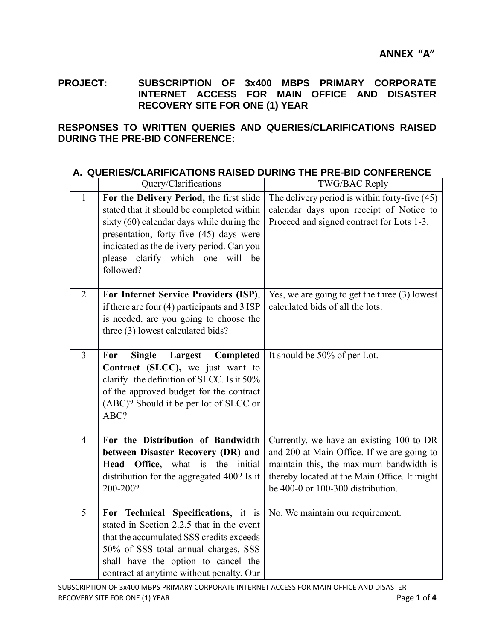**PROJECT: SUBSCRIPTION OF 3x400 MBPS PRIMARY CORPORATE INTERNET ACCESS FOR MAIN OFFICE AND DISASTER RECOVERY SITE FOR ONE (1) YEAR**

## **RESPONSES TO WRITTEN QUERIES AND QUERIES/CLARIFICATIONS RAISED DURING THE PRE-BID CONFERENCE:**

|                | Query/Clarifications                                                                                                                                                                                                                                                        | TWG/BAC Reply                                                                                                                                                                                                              |
|----------------|-----------------------------------------------------------------------------------------------------------------------------------------------------------------------------------------------------------------------------------------------------------------------------|----------------------------------------------------------------------------------------------------------------------------------------------------------------------------------------------------------------------------|
| $\mathbf{1}$   | For the Delivery Period, the first slide<br>stated that it should be completed within<br>sixty (60) calendar days while during the<br>presentation, forty-five (45) days were<br>indicated as the delivery period. Can you<br>please clarify which one will be<br>followed? | The delivery period is within forty-five (45)<br>calendar days upon receipt of Notice to<br>Proceed and signed contract for Lots 1-3.                                                                                      |
| $\overline{2}$ | For Internet Service Providers (ISP),<br>if there are four $(4)$ participants and 3 ISP<br>is needed, are you going to choose the<br>three (3) lowest calculated bids?                                                                                                      | Yes, we are going to get the three $(3)$ lowest<br>calculated bids of all the lots.                                                                                                                                        |
| $\overline{3}$ | <b>Single</b><br>Largest<br>Completed<br>For<br>Contract (SLCC), we just want to<br>clarify the definition of SLCC. Is it 50%<br>of the approved budget for the contract<br>(ABC)? Should it be per lot of SLCC or<br>ABC?                                                  | It should be 50% of per Lot.                                                                                                                                                                                               |
| $\overline{4}$ | For the Distribution of Bandwidth<br>between Disaster Recovery (DR) and<br>Head Office, what is the initial<br>distribution for the aggregated 400? Is it<br>200-200?                                                                                                       | Currently, we have an existing 100 to DR<br>and 200 at Main Office. If we are going to<br>maintain this, the maximum bandwidth is<br>thereby located at the Main Office. It might<br>be $400-0$ or $100-300$ distribution. |
| 5              | For Technical Specifications, it is<br>stated in Section 2.2.5 that in the event<br>that the accumulated SSS credits exceeds<br>50% of SSS total annual charges, SSS<br>shall have the option to cancel the<br>contract at anytime without penalty. Our                     | No. We maintain our requirement.                                                                                                                                                                                           |

## **A. QUERIES/CLARIFICATIONS RAISED DURING THE PRE-BID CONFERENCE**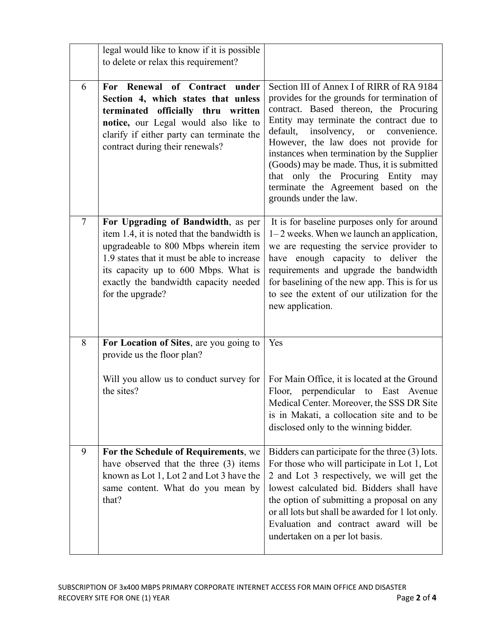|                | legal would like to know if it is possible<br>to delete or relax this requirement?                                                                                                                                                                                            |                                                                                                                                                                                                                                                                                                                                                                                                                                                                                     |
|----------------|-------------------------------------------------------------------------------------------------------------------------------------------------------------------------------------------------------------------------------------------------------------------------------|-------------------------------------------------------------------------------------------------------------------------------------------------------------------------------------------------------------------------------------------------------------------------------------------------------------------------------------------------------------------------------------------------------------------------------------------------------------------------------------|
| 6              | For Renewal of Contract<br>under<br>Section 4, which states that unless<br>terminated officially thru written<br>notice, our Legal would also like to<br>clarify if either party can terminate the<br>contract during their renewals?                                         | Section III of Annex I of RIRR of RA 9184<br>provides for the grounds for termination of<br>contract. Based thereon, the Procuring<br>Entity may terminate the contract due to<br>default,<br>insolvency,<br><b>or</b><br>convenience.<br>However, the law does not provide for<br>instances when termination by the Supplier<br>(Goods) may be made. Thus, it is submitted<br>that only the Procuring Entity may<br>terminate the Agreement based on the<br>grounds under the law. |
| $\overline{7}$ | For Upgrading of Bandwidth, as per<br>item 1.4, it is noted that the bandwidth is<br>upgradeable to 800 Mbps wherein item<br>1.9 states that it must be able to increase<br>its capacity up to 600 Mbps. What is<br>exactly the bandwidth capacity needed<br>for the upgrade? | It is for baseline purposes only for around<br>$1-2$ weeks. When we launch an application,<br>we are requesting the service provider to<br>have enough capacity to deliver the<br>requirements and upgrade the bandwidth<br>for baselining of the new app. This is for us<br>to see the extent of our utilization for the<br>new application.                                                                                                                                       |
| 8              | For Location of Sites, are you going to<br>provide us the floor plan?                                                                                                                                                                                                         | Yes                                                                                                                                                                                                                                                                                                                                                                                                                                                                                 |
|                | Will you allow us to conduct survey for<br>the sites?                                                                                                                                                                                                                         | For Main Office, it is located at the Ground<br>Floor, perpendicular to East Avenue<br>Medical Center. Moreover, the SSS DR Site<br>is in Makati, a collocation site and to be<br>disclosed only to the winning bidder.                                                                                                                                                                                                                                                             |
| 9              | For the Schedule of Requirements, we<br>have observed that the three (3) items<br>known as Lot 1, Lot 2 and Lot 3 have the<br>same content. What do you mean by<br>that?                                                                                                      | Bidders can participate for the three (3) lots.<br>For those who will participate in Lot 1, Lot<br>2 and Lot 3 respectively, we will get the<br>lowest calculated bid. Bidders shall have<br>the option of submitting a proposal on any<br>or all lots but shall be awarded for 1 lot only.<br>Evaluation and contract award will be<br>undertaken on a per lot basis.                                                                                                              |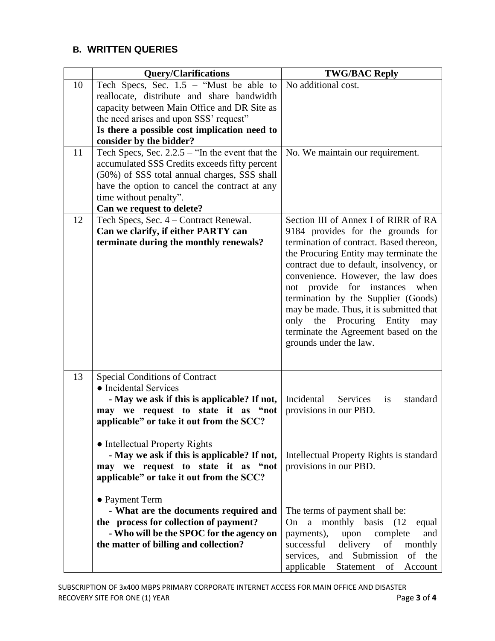## **B. WRITTEN QUERIES**

|    | <b>Query/Clarifications</b>                                                   | <b>TWG/BAC Reply</b>                                                              |
|----|-------------------------------------------------------------------------------|-----------------------------------------------------------------------------------|
| 10 | Tech Specs, Sec. $1.5$ – "Must be able to                                     | No additional cost.                                                               |
|    | reallocate, distribute and share bandwidth                                    |                                                                                   |
|    | capacity between Main Office and DR Site as                                   |                                                                                   |
|    | the need arises and upon SSS' request"                                        |                                                                                   |
|    | Is there a possible cost implication need to                                  |                                                                                   |
|    | consider by the bidder?                                                       |                                                                                   |
| 11 | Tech Specs, Sec. $2.2.5$ – "In the event that the                             | No. We maintain our requirement.                                                  |
|    | accumulated SSS Credits exceeds fifty percent                                 |                                                                                   |
|    | (50%) of SSS total annual charges, SSS shall                                  |                                                                                   |
|    | have the option to cancel the contract at any                                 |                                                                                   |
|    | time without penalty".                                                        |                                                                                   |
|    | Can we request to delete?                                                     |                                                                                   |
| 12 | Tech Specs, Sec. 4 – Contract Renewal.                                        | Section III of Annex I of RIRR of RA                                              |
|    | Can we clarify, if either PARTY can                                           | 9184 provides for the grounds for                                                 |
|    | terminate during the monthly renewals?                                        | termination of contract. Based thereon,                                           |
|    |                                                                               | the Procuring Entity may terminate the<br>contract due to default, insolvency, or |
|    |                                                                               | convenience. However, the law does                                                |
|    |                                                                               | not provide for instances<br>when                                                 |
|    |                                                                               | termination by the Supplier (Goods)                                               |
|    |                                                                               | may be made. Thus, it is submitted that                                           |
|    |                                                                               | Procuring<br>only<br>the<br>Entity<br>may                                         |
|    |                                                                               | terminate the Agreement based on the                                              |
|    |                                                                               | grounds under the law.                                                            |
|    |                                                                               |                                                                                   |
|    |                                                                               |                                                                                   |
| 13 | <b>Special Conditions of Contract</b>                                         |                                                                                   |
|    | • Incidental Services                                                         |                                                                                   |
|    | - May we ask if this is applicable? If not,                                   | Incidental<br>Services<br>standard<br>is                                          |
|    | may we request to state it as "not                                            | provisions in our PBD.                                                            |
|    | applicable" or take it out from the SCC?                                      |                                                                                   |
|    |                                                                               |                                                                                   |
|    | • Intellectual Property Rights<br>- May we ask if this is applicable? If not, | Intellectual Property Rights is standard                                          |
|    | may we request to state it as "not                                            | provisions in our PBD.                                                            |
|    | applicable" or take it out from the SCC?                                      |                                                                                   |
|    |                                                                               |                                                                                   |
|    | • Payment Term                                                                |                                                                                   |
|    | - What are the documents required and                                         | The terms of payment shall be:                                                    |
|    | the process for collection of payment?                                        | On a monthly basis (12)<br>equal                                                  |
|    | - Who will be the SPOC for the agency on                                      | complete<br>payments),<br>upon<br>and                                             |
|    | the matter of billing and collection?                                         | delivery<br>successful<br>of<br>monthly                                           |
|    |                                                                               | services, and Submission of the                                                   |
|    |                                                                               | applicable<br>Statement<br>of<br>Account                                          |